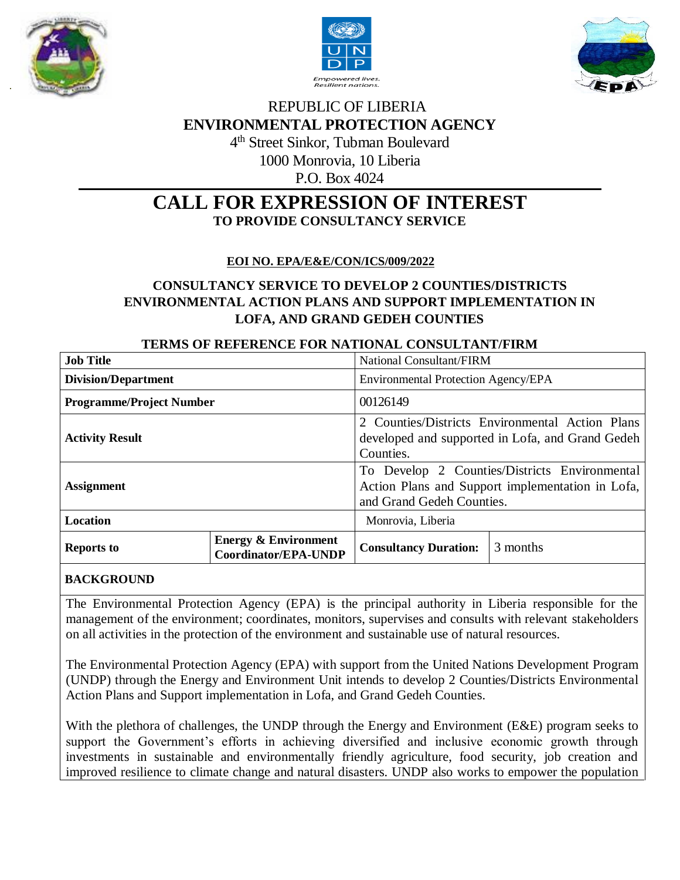





# REPUBLIC OF LIBERIA **ENVIRONMENTAL PROTECTION AGENCY** 4 th Street Sinkor, Tubman Boulevard

1000 Monrovia, 10 Liberia

P.O. Box 4024

# **CALL FOR EXPRESSION OF INTEREST TO PROVIDE CONSULTANCY SERVICE**

### **EOI NO. EPA/E&E/CON/ICS/009/2022**

# **CONSULTANCY SERVICE TO DEVELOP 2 COUNTIES/DISTRICTS ENVIRONMENTAL ACTION PLANS AND SUPPORT IMPLEMENTATION IN LOFA, AND GRAND GEDEH COUNTIES**

### **TERMS OF REFERENCE FOR NATIONAL CONSULTANT/FIRM**

| <b>Job Title</b>                |                                                                | <b>National Consultant/FIRM</b>                                                                                                |          |
|---------------------------------|----------------------------------------------------------------|--------------------------------------------------------------------------------------------------------------------------------|----------|
| <b>Division/Department</b>      |                                                                | Environmental Protection Agency/EPA                                                                                            |          |
| <b>Programme/Project Number</b> |                                                                | 00126149                                                                                                                       |          |
| <b>Activity Result</b>          |                                                                | 2 Counties/Districts Environmental Action Plans<br>developed and supported in Lofa, and Grand Gedeh<br>Counties.               |          |
| <b>Assignment</b>               |                                                                | To Develop 2 Counties/Districts Environmental<br>Action Plans and Support implementation in Lofa,<br>and Grand Gedeh Counties. |          |
| <b>Location</b>                 |                                                                | Monrovia, Liberia                                                                                                              |          |
| <b>Reports to</b>               | <b>Energy &amp; Environment</b><br><b>Coordinator/EPA-UNDP</b> | <b>Consultancy Duration:</b>                                                                                                   | 3 months |

### **BACKGROUND**

The Environmental Protection Agency (EPA) is the principal authority in Liberia responsible for the management of the environment; coordinates, monitors, supervises and consults with relevant stakeholders on all activities in the protection of the environment and sustainable use of natural resources.

The Environmental Protection Agency (EPA) with support from the United Nations Development Program (UNDP) through the Energy and Environment Unit intends to develop 2 Counties/Districts Environmental Action Plans and Support implementation in Lofa, and Grand Gedeh Counties.

With the plethora of challenges, the UNDP through the Energy and Environment (E&E) program seeks to support the Government's efforts in achieving diversified and inclusive economic growth through investments in sustainable and environmentally friendly agriculture, food security, job creation and improved resilience to climate change and natural disasters. UNDP also works to empower the population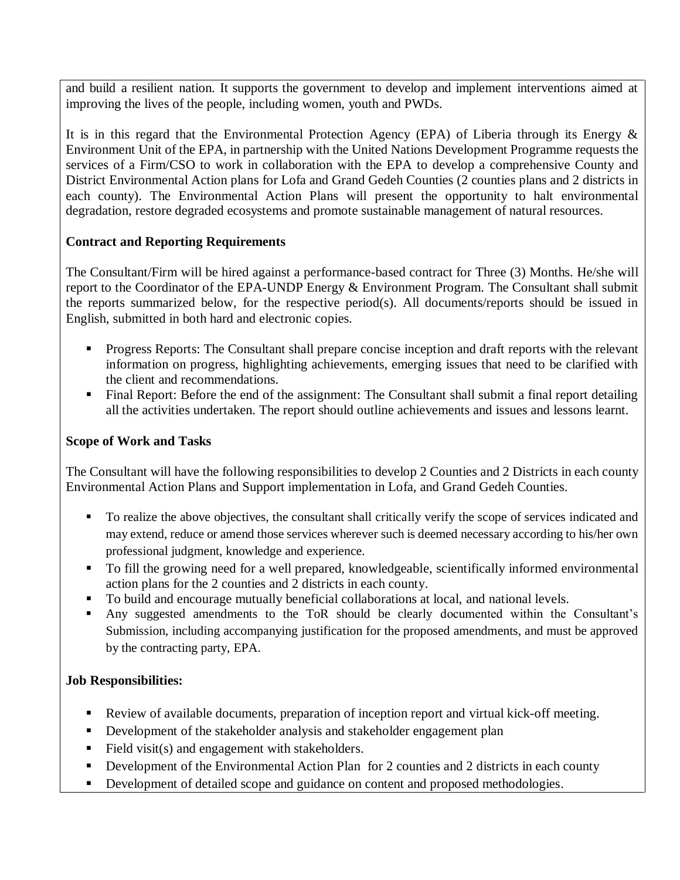and build a resilient nation. It supports the government to develop and implement interventions aimed at improving the lives of the people, including women, youth and PWDs.

It is in this regard that the Environmental Protection Agency (EPA) of Liberia through its Energy  $\&$ Environment Unit of the EPA, in partnership with the United Nations Development Programme requests the services of a Firm/CSO to work in collaboration with the EPA to develop a comprehensive County and District Environmental Action plans for Lofa and Grand Gedeh Counties (2 counties plans and 2 districts in each county). The Environmental Action Plans will present the opportunity to halt environmental degradation, restore degraded ecosystems and promote sustainable management of natural resources.

### **Contract and Reporting Requirements**

The Consultant/Firm will be hired against a performance-based contract for Three (3) Months. He/she will report to the Coordinator of the EPA-UNDP Energy & Environment Program. The Consultant shall submit the reports summarized below, for the respective period(s). All documents/reports should be issued in English, submitted in both hard and electronic copies.

- Progress Reports: The Consultant shall prepare concise inception and draft reports with the relevant information on progress, highlighting achievements, emerging issues that need to be clarified with the client and recommendations.
- Final Report: Before the end of the assignment: The Consultant shall submit a final report detailing all the activities undertaken. The report should outline achievements and issues and lessons learnt.

### **Scope of Work and Tasks**

The Consultant will have the following responsibilities to develop 2 Counties and 2 Districts in each county Environmental Action Plans and Support implementation in Lofa, and Grand Gedeh Counties.

- To realize the above objectives, the consultant shall critically verify the scope of services indicated and may extend, reduce or amend those services wherever such is deemed necessary according to his/her own professional judgment, knowledge and experience.
- To fill the growing need for a well prepared, knowledgeable, scientifically informed environmental action plans for the 2 counties and 2 districts in each county.
- To build and encourage mutually beneficial collaborations at local, and national levels.
- Any suggested amendments to the ToR should be clearly documented within the Consultant's Submission, including accompanying justification for the proposed amendments, and must be approved by the contracting party, EPA.

### **Job Responsibilities:**

- Review of available documents, preparation of inception report and virtual kick-off meeting.
- Development of the stakeholder analysis and stakeholder engagement plan
- Field visit(s) and engagement with stakeholders.
- Development of the Environmental Action Plan for 2 counties and 2 districts in each county
- Development of detailed scope and guidance on content and proposed methodologies.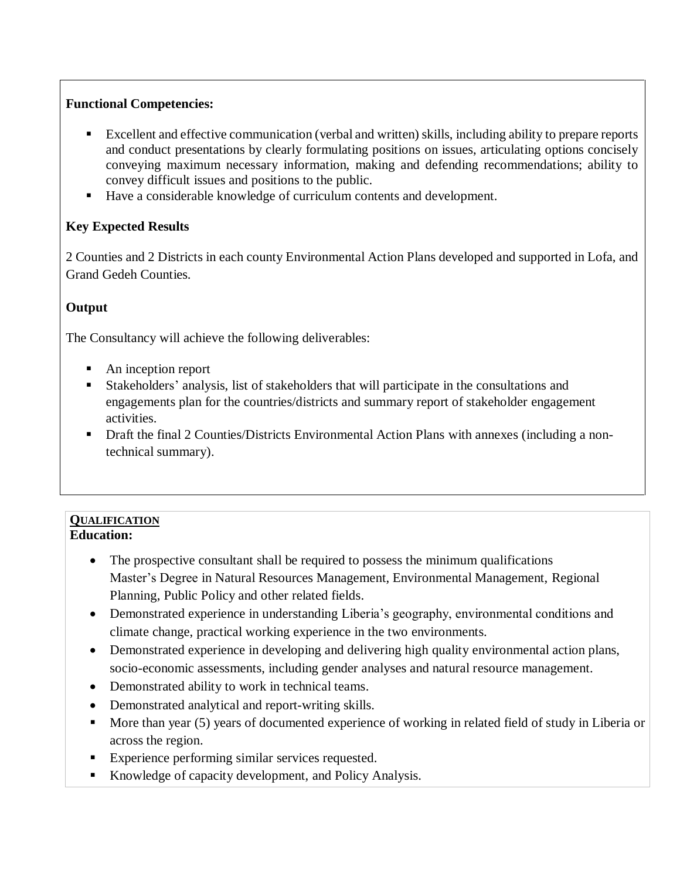### **Functional Competencies:**

- Excellent and effective communication (verbal and written) skills, including ability to prepare reports and conduct presentations by clearly formulating positions on issues, articulating options concisely conveying maximum necessary information, making and defending recommendations; ability to convey difficult issues and positions to the public.
- Have a considerable knowledge of curriculum contents and development.

## **Key Expected Results**

2 Counties and 2 Districts in each county Environmental Action Plans developed and supported in Lofa, and Grand Gedeh Counties.

# **Output**

The Consultancy will achieve the following deliverables:

- An inception report
- Stakeholders' analysis, list of stakeholders that will participate in the consultations and engagements plan for the countries/districts and summary report of stakeholder engagement activities.
- Draft the final 2 Counties/Districts Environmental Action Plans with annexes (including a nontechnical summary).

#### **QUALIFICATION Education:**

- The prospective consultant shall be required to possess the minimum qualifications Master's Degree in Natural Resources Management, Environmental Management, Regional Planning, Public Policy and other related fields.
- Demonstrated experience in understanding Liberia's geography, environmental conditions and climate change, practical working experience in the two environments.
- Demonstrated experience in developing and delivering high quality environmental action plans, socio-economic assessments, including gender analyses and natural resource management.
- Demonstrated ability to work in technical teams.
- Demonstrated analytical and report-writing skills.
- More than year (5) years of documented experience of working in related field of study in Liberia or across the region.
- Experience performing similar services requested.
- Knowledge of capacity development, and Policy Analysis.